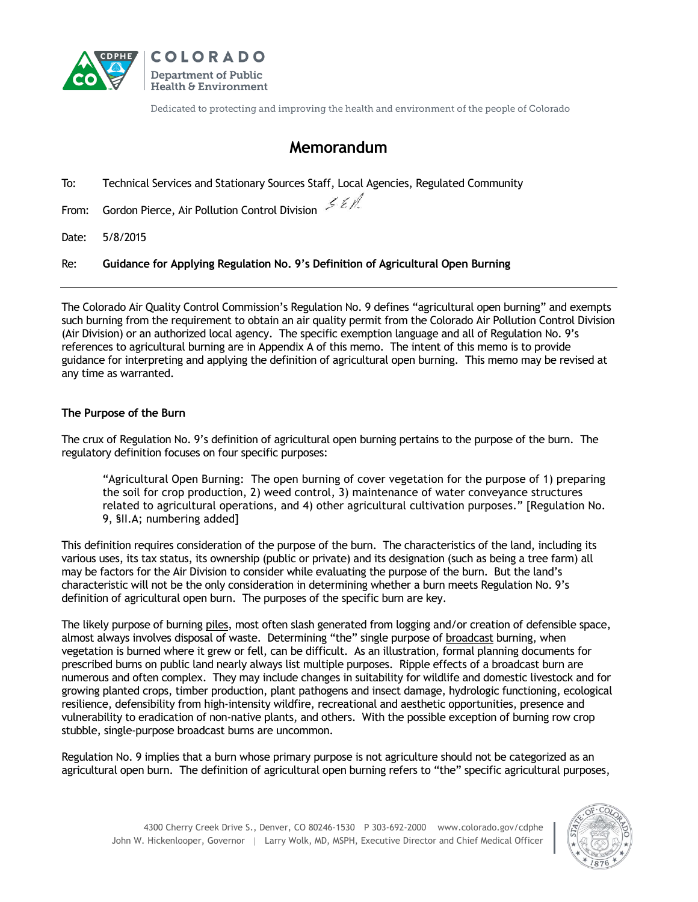



Dedicated to protecting and improving the health and environment of the people of Colorado

# **Memorandum**

To: Technical Services and Stationary Sources Staff, Local Agencies, Regulated Community

From: Gordon Pierce, Air Pollution Control Division  $\leq \ell$ 

Date: 5/8/2015

Re: **Guidance for Applying Regulation No. 9's Definition of Agricultural Open Burning**

The Colorado Air Quality Control Commission's Regulation No. 9 defines "agricultural open burning" and exempts such burning from the requirement to obtain an air quality permit from the Colorado Air Pollution Control Division (Air Division) or an authorized local agency. The specific exemption language and all of Regulation No. 9's references to agricultural burning are in Appendix A of this memo. The intent of this memo is to provide guidance for interpreting and applying the definition of agricultural open burning. This memo may be revised at any time as warranted.

#### **The Purpose of the Burn**

The crux of Regulation No. 9's definition of agricultural open burning pertains to the purpose of the burn. The regulatory definition focuses on four specific purposes:

"Agricultural Open Burning: The open burning of cover vegetation for the purpose of 1) preparing the soil for crop production, 2) weed control, 3) maintenance of water conveyance structures related to agricultural operations, and 4) other agricultural cultivation purposes." [Regulation No. 9, §II.A; numbering added]

This definition requires consideration of the purpose of the burn. The characteristics of the land, including its various uses, its tax status, its ownership (public or private) and its designation (such as being a tree farm) all may be factors for the Air Division to consider while evaluating the purpose of the burn. But the land's characteristic will not be the only consideration in determining whether a burn meets Regulation No. 9's definition of agricultural open burn. The purposes of the specific burn are key.

The likely purpose of burning piles, most often slash generated from logging and/or creation of defensible space, almost always involves disposal of waste. Determining "the" single purpose of broadcast burning, when vegetation is burned where it grew or fell, can be difficult. As an illustration, formal planning documents for prescribed burns on public land nearly always list multiple purposes. Ripple effects of a broadcast burn are numerous and often complex. They may include changes in suitability for wildlife and domestic livestock and for growing planted crops, timber production, plant pathogens and insect damage, hydrologic functioning, ecological resilience, defensibility from high-intensity wildfire, recreational and aesthetic opportunities, presence and vulnerability to eradication of non-native plants, and others. With the possible exception of burning row crop stubble, single-purpose broadcast burns are uncommon.

Regulation No. 9 implies that a burn whose primary purpose is not agriculture should not be categorized as an agricultural open burn. The definition of agricultural open burning refers to "the" specific agricultural purposes,

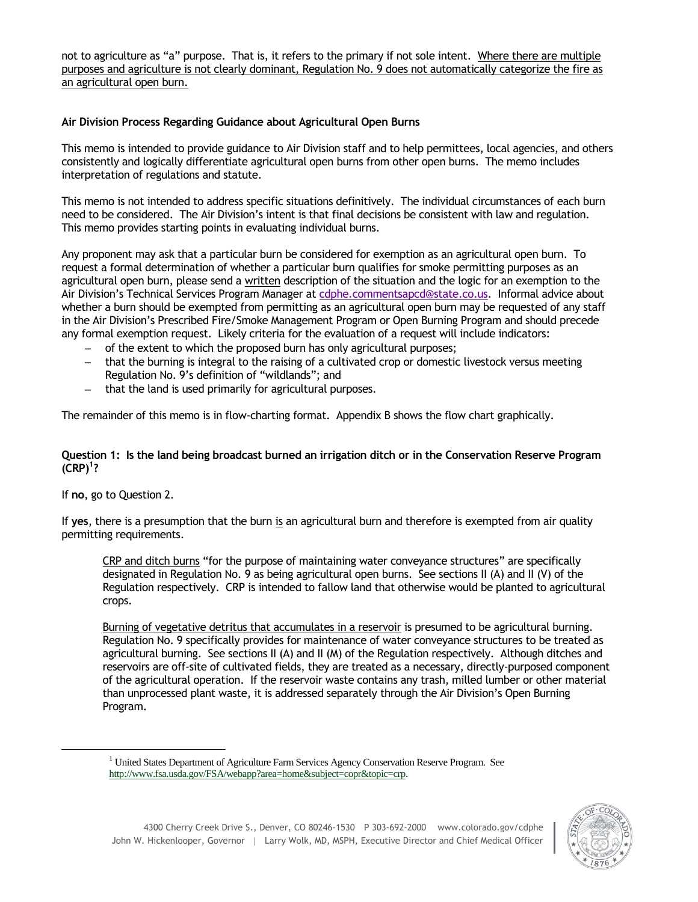not to agriculture as "a" purpose. That is, it refers to the primary if not sole intent. Where there are multiple purposes and agriculture is not clearly dominant, Regulation No. 9 does not automatically categorize the fire as an agricultural open burn.

### **Air Division Process Regarding Guidance about Agricultural Open Burns**

This memo is intended to provide guidance to Air Division staff and to help permittees, local agencies, and others consistently and logically differentiate agricultural open burns from other open burns. The memo includes interpretation of regulations and statute.

This memo is not intended to address specific situations definitively. The individual circumstances of each burn need to be considered. The Air Division's intent is that final decisions be consistent with law and regulation. This memo provides starting points in evaluating individual burns.

Any proponent may ask that a particular burn be considered for exemption as an agricultural open burn. To request a formal determination of whether a particular burn qualifies for smoke permitting purposes as an agricultural open burn, please send a written description of the situation and the logic for an exemption to the Air Division's Technical Services Program Manager at [cdphe.commentsapcd@state.co.us.](javascript:void(location.href=) Informal advice about whether a burn should be exempted from permitting as an agricultural open burn may be requested of any staff in the Air Division's Prescribed Fire/Smoke Management Program or Open Burning Program and should precede any formal exemption request. Likely criteria for the evaluation of a request will include indicators:

- of the extent to which the proposed burn has only agricultural purposes;
- that the burning is integral to the raising of a cultivated crop or domestic livestock versus meeting Regulation No. 9's definition of "wildlands"; and
- $-$  that the land is used primarily for agricultural purposes.

The remainder of this memo is in flow-charting format. Appendix B shows the flow chart graphically.

#### **Question 1: Is the land being broadcast burned an irrigation ditch or in the Conservation Reserve Program (CRP)<sup>1</sup> ?**

If **no**, go to Question 2.

 $\overline{a}$ 

If **yes**, there is a presumption that the burn is an agricultural burn and therefore is exempted from air quality permitting requirements.

CRP and ditch burns "for the purpose of maintaining water conveyance structures" are specifically designated in Regulation No. 9 as being agricultural open burns. See sections II (A) and II (V) of the Regulation respectively. CRP is intended to fallow land that otherwise would be planted to agricultural crops.

Burning of vegetative detritus that accumulates in a reservoir is presumed to be agricultural burning. Regulation No. 9 specifically provides for maintenance of water conveyance structures to be treated as agricultural burning. See sections II (A) and II (M) of the Regulation respectively. Although ditches and reservoirs are off-site of cultivated fields, they are treated as a necessary, directly-purposed component of the agricultural operation. If the reservoir waste contains any trash, milled lumber or other material than unprocessed plant waste, it is addressed separately through the Air Division's Open Burning Program.



 $1$  United States Department of Agriculture Farm Services Agency Conservation Reserve Program. See [http://www.fsa.usda.gov/FSA/webapp?area=home&subject=copr&topic=crp.](http://www.fsa.usda.gov/FSA/webapp?area=home&subject=copr&topic=crp)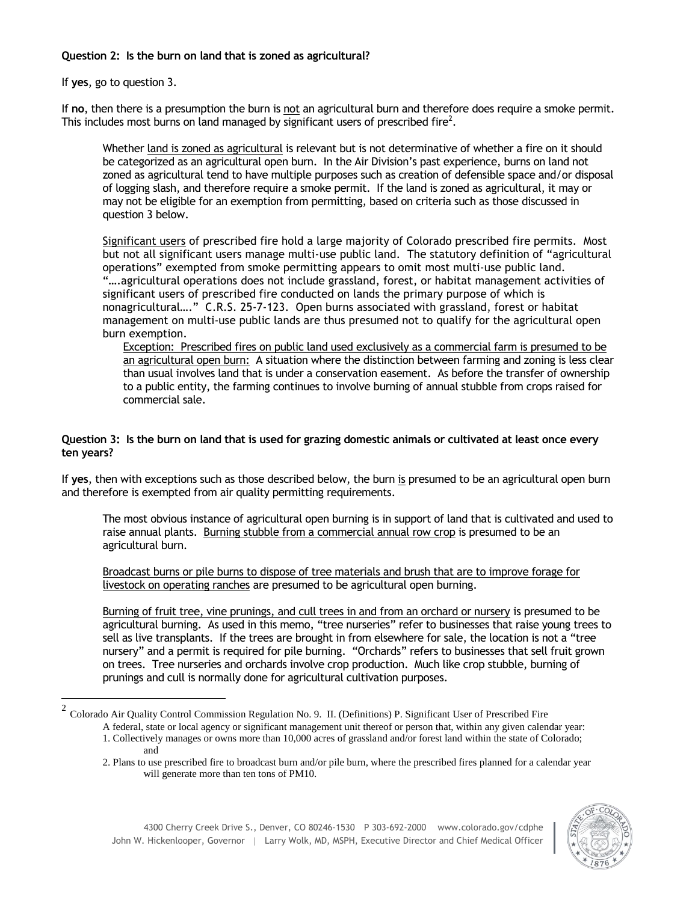# **Question 2: Is the burn on land that is zoned as agricultural?**

If **yes**, go to question 3.

If **no**, then there is a presumption the burn is not an agricultural burn and therefore does require a smoke permit. This includes most burns on land managed by significant users of prescribed fire<sup>2</sup>.

Whether land is zoned as agricultural is relevant but is not determinative of whether a fire on it should be categorized as an agricultural open burn. In the Air Division's past experience, burns on land not zoned as agricultural tend to have multiple purposes such as creation of defensible space and/or disposal of logging slash, and therefore require a smoke permit. If the land is zoned as agricultural, it may or may not be eligible for an exemption from permitting, based on criteria such as those discussed in question 3 below.

Significant users of prescribed fire hold a large majority of Colorado prescribed fire permits. Most but not all significant users manage multi-use public land. The statutory definition of "agricultural operations" exempted from smoke permitting appears to omit most multi-use public land. "….agricultural operations does not include grassland, forest, or habitat management activities of significant users of prescribed fire conducted on lands the primary purpose of which is nonagricultural…." C.R.S. 25-7-123.Open burns associated with grassland, forest or habitat management on multi-use public lands are thus presumed not to qualify for the agricultural open burn exemption.

Exception: Prescribed fires on public land used exclusively as a commercial farm is presumed to be an agricultural open burn: A situation where the distinction between farming and zoning is less clear than usual involves land that is under a conservation easement. As before the transfer of ownership to a public entity, the farming continues to involve burning of annual stubble from crops raised for commercial sale.

#### **Question 3: Is the burn on land that is used for grazing domestic animals or cultivated at least once every ten years?**

If **yes**, then with exceptions such as those described below, the burn is presumed to be an agricultural open burn and therefore is exempted from air quality permitting requirements.

The most obvious instance of agricultural open burning is in support of land that is cultivated and used to raise annual plants. Burning stubble from a commercial annual row crop is presumed to be an agricultural burn.

Broadcast burns or pile burns to dispose of tree materials and brush that are to improve forage for livestock on operating ranches are presumed to be agricultural open burning.

Burning of fruit tree, vine prunings, and cull trees in and from an orchard or nursery is presumed to be agricultural burning. As used in this memo, "tree nurseries" refer to businesses that raise young trees to sell as live transplants. If the trees are brought in from elsewhere for sale, the location is not a "tree nursery" and a permit is required for pile burning. "Orchards" refers to businesses that sell fruit grown on trees. Tree nurseries and orchards involve crop production. Much like crop stubble, burning of prunings and cull is normally done for agricultural cultivation purposes.

<sup>2.</sup> Plans to use prescribed fire to broadcast burn and/or pile burn, where the prescribed fires planned for a calendar year will generate more than ten tons of PM10.



<sup>&</sup>lt;sup>2</sup> Colorado Air Quality Control Commission Regulation No. 9. II. (Definitions) P. Significant User of Prescribed Fire

A federal, state or local agency or significant management unit thereof or person that, within any given calendar year: 1. Collectively manages or owns more than 10,000 acres of grassland and/or forest land within the state of Colorado; and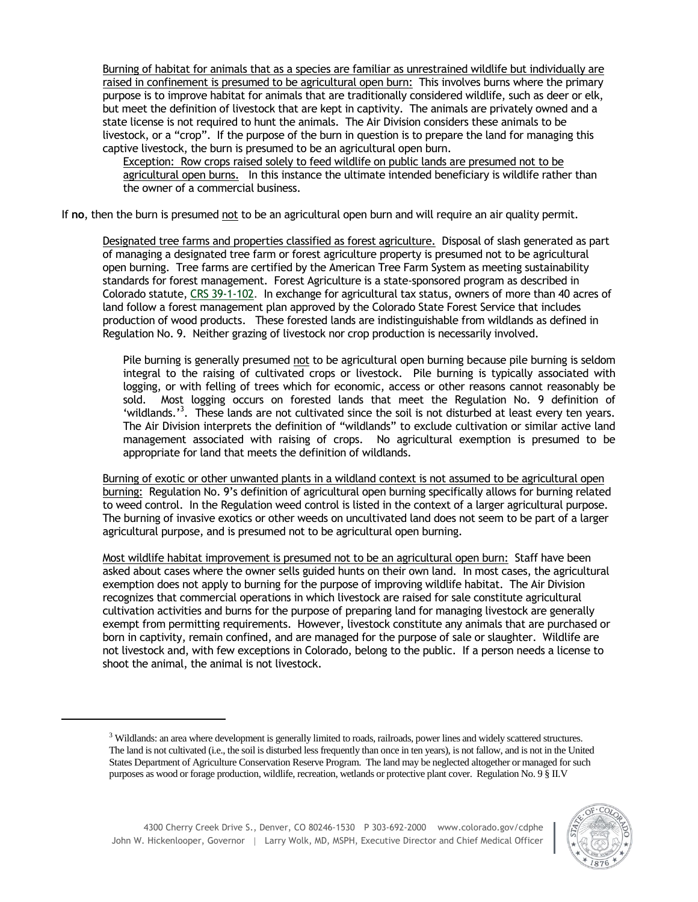Burning of habitat for animals that as a species are familiar as unrestrained wildlife but individually are raised in confinement is presumed to be agricultural open burn: This involves burns where the primary purpose is to improve habitat for animals that are traditionally considered wildlife, such as deer or elk, but meet the definition of livestock that are kept in captivity. The animals are privately owned and a state license is not required to hunt the animals. The Air Division considers these animals to be livestock, or a "crop". If the purpose of the burn in question is to prepare the land for managing this captive livestock, the burn is presumed to be an agricultural open burn.

Exception: Row crops raised solely to feed wildlife on public lands are presumed not to be agricultural open burns. In this instance the ultimate intended beneficiary is wildlife rather than the owner of a commercial business.

If **no**, then the burn is presumed not to be an agricultural open burn and will require an air quality permit.

Designated tree farms and properties classified as forest agriculture. Disposal of slash generated as part of managing a designated tree farm or forest agriculture property is presumed not to be agricultural open burning. Tree farms are certified by the American Tree Farm System as meeting sustainability standards for forest management. Forest Agriculture is a state-sponsored program as described in Colorado statute, [CRS 39-1-102.](http://csfs.colostate.edu/pdfs/39-1-102.pdf) In exchange for agricultural tax status, owners of more than 40 acres of land follow a forest management plan approved by the Colorado State Forest Service that includes production of wood products. These forested lands are indistinguishable from wildlands as defined in Regulation No. 9. Neither grazing of livestock nor crop production is necessarily involved.

Pile burning is generally presumed not to be agricultural open burning because pile burning is seldom integral to the raising of cultivated crops or livestock. Pile burning is typically associated with logging, or with felling of trees which for economic, access or other reasons cannot reasonably be sold. Most logging occurs on forested lands that meet the Regulation No. 9 definition of 'wildlands.'<sup>3</sup>. These lands are not cultivated since the soil is not disturbed at least every ten years. The Air Division interprets the definition of "wildlands" to exclude cultivation or similar active land management associated with raising of crops. No agricultural exemption is presumed to be appropriate for land that meets the definition of wildlands.

Burning of exotic or other unwanted plants in a wildland context is not assumed to be agricultural open burning: Regulation No. 9's definition of agricultural open burning specifically allows for burning related to weed control. In the Regulation weed control is listed in the context of a larger agricultural purpose. The burning of invasive exotics or other weeds on uncultivated land does not seem to be part of a larger agricultural purpose, and is presumed not to be agricultural open burning.

Most wildlife habitat improvement is presumed not to be an agricultural open burn: Staff have been asked about cases where the owner sells guided hunts on their own land. In most cases, the agricultural exemption does not apply to burning for the purpose of improving wildlife habitat. The Air Division recognizes that commercial operations in which livestock are raised for sale constitute agricultural cultivation activities and burns for the purpose of preparing land for managing livestock are generally exempt from permitting requirements. However, livestock constitute any animals that are purchased or born in captivity, remain confined, and are managed for the purpose of sale or slaughter. Wildlife are not livestock and, with few exceptions in Colorado, belong to the public. If a person needs a license to shoot the animal, the animal is not livestock.

<sup>&</sup>lt;sup>3</sup> Wildlands: an area where development is generally limited to roads, railroads, power lines and widely scattered structures. The land is not cultivated (i.e., the soil is disturbed less frequently than once in ten years), is not fallow, and is not in the United States Department of Agriculture Conservation Reserve Program. The land may be neglected altogether or managed for such purposes as wood or forage production, wildlife, recreation, wetlands or protective plant cover. Regulation No. 9 § II.V



 $\overline{a}$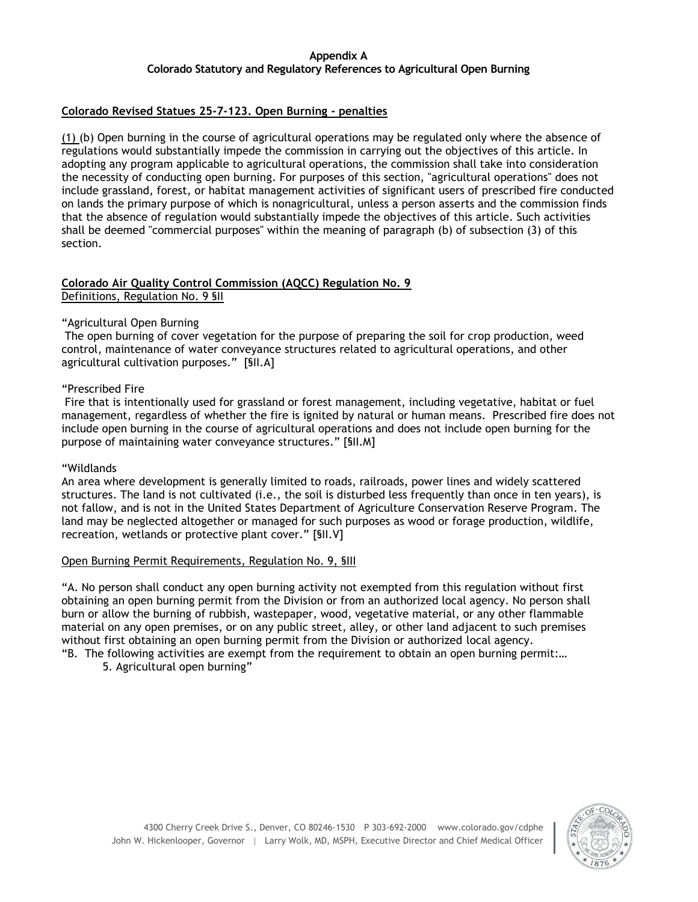# **Appendix A Colorado Statutory and Regulatory References to Agricultural Open Burning**

### **Colorado Revised Statues 25-7-123. Open Burning - penalties**

(1) (b) Open burning in the course of agricultural operations may be regulated only where the absence of regulations would substantially impede the commission in carrying out the objectives of this article. In adopting any program applicable to agricultural operations, the commission shall take into consideration the necessity of conducting open burning. For purposes of this section, "agricultural operations" does not include grassland, forest, or habitat management activities of significant users of prescribed fire conducted on lands the primary purpose of which is nonagricultural, unless a person asserts and the commission finds that the absence of regulation would substantially impede the objectives of this article. Such activities shall be deemed "commercial purposes" within the meaning of paragraph (b) of subsection (3) of this section.

### **Colorado Air Quality Control Commission (AQCC) Regulation No. 9** Definitions, Regulation No. 9 §II

#### "Agricultural Open Burning

The open burning of cover vegetation for the purpose of preparing the soil for crop production, weed control, maintenance of water conveyance structures related to agricultural operations, and other agricultural cultivation purposes." [§II.A]

#### "Prescribed Fire

Fire that is intentionally used for grassland or forest management, including vegetative, habitat or fuel management, regardless of whether the fire is ignited by natural or human means. Prescribed fire does not include open burning in the course of agricultural operations and does not include open burning for the purpose of maintaining water conveyance structures." [§II.M]

#### "Wildlands

An area where development is generally limited to roads, railroads, power lines and widely scattered structures. The land is not cultivated (i.e., the soil is disturbed less frequently than once in ten years), is not fallow, and is not in the United States Department of Agriculture Conservation Reserve Program. The land may be neglected altogether or managed for such purposes as wood or forage production, wildlife, recreation, wetlands or protective plant cover." [§II.V]

#### Open Burning Permit Requirements, Regulation No. 9, §III

"A. No person shall conduct any open burning activity not exempted from this regulation without first obtaining an open burning permit from the Division or from an authorized local agency. No person shall burn or allow the burning of rubbish, wastepaper, wood, vegetative material, or any other flammable material on any open premises, or on any public street, alley, or other land adjacent to such premises without first obtaining an open burning permit from the Division or authorized local agency.

"B. The following activities are exempt from the requirement to obtain an open burning permit:…

5. Agricultural open burning"